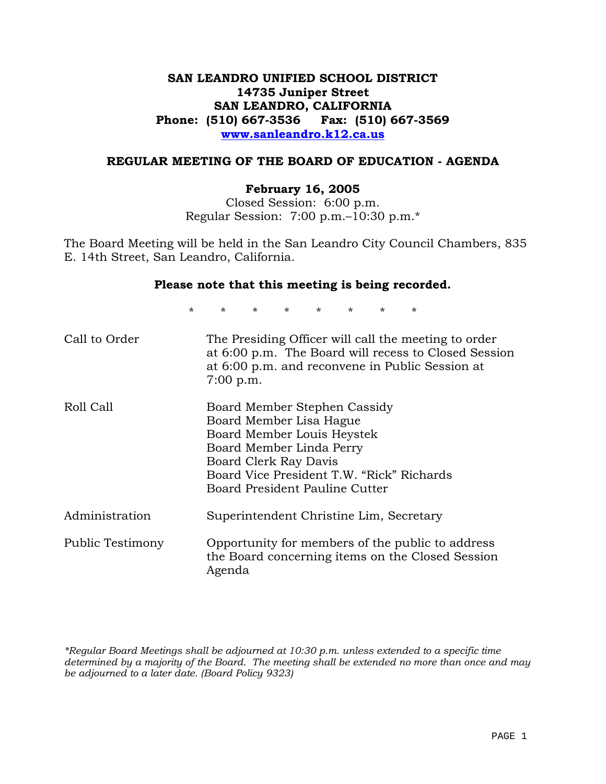# **SAN LEANDRO UNIFIED SCHOOL DISTRICT 14735 Juniper Street SAN LEANDRO, CALIFORNIA Phone: (510) 667-3536 Fax: (510) 667-3569 www.sanleandro.k12.ca.us**

### **REGULAR MEETING OF THE BOARD OF EDUCATION - AGENDA**

#### **February 16, 2005**

Closed Session: 6:00 p.m. Regular Session: 7:00 p.m.–10:30 p.m.\*

The Board Meeting will be held in the San Leandro City Council Chambers, 835 E. 14th Street, San Leandro, California.

#### **Please note that this meeting is being recorded.**

\* \* \* \* \* \* \* \*

| Call to Order           | The Presiding Officer will call the meeting to order<br>at 6:00 p.m. The Board will recess to Closed Session<br>at 6:00 p.m. and reconvene in Public Session at<br>$7:00$ p.m.                                            |
|-------------------------|---------------------------------------------------------------------------------------------------------------------------------------------------------------------------------------------------------------------------|
| Roll Call               | Board Member Stephen Cassidy<br>Board Member Lisa Hague<br>Board Member Louis Heystek<br>Board Member Linda Perry<br>Board Clerk Ray Davis<br>Board Vice President T.W. "Rick" Richards<br>Board President Pauline Cutter |
| Administration          | Superintendent Christine Lim, Secretary                                                                                                                                                                                   |
| <b>Public Testimony</b> | Opportunity for members of the public to address<br>the Board concerning items on the Closed Session<br>Agenda                                                                                                            |

*\*Regular Board Meetings shall be adjourned at 10:30 p.m. unless extended to a specific time determined by a majority of the Board. The meeting shall be extended no more than once and may be adjourned to a later date. (Board Policy 9323)*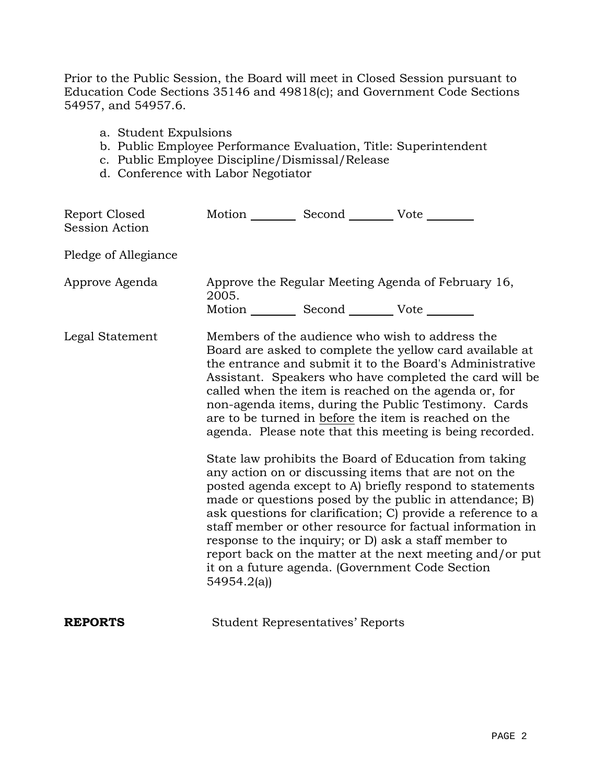Prior to the Public Session, the Board will meet in Closed Session pursuant to Education Code Sections 35146 and 49818(c); and Government Code Sections 54957, and 54957.6.

- a. Student Expulsions
- b. Public Employee Performance Evaluation, Title: Superintendent
- c. Public Employee Discipline/Dismissal/Release
- d. Conference with Labor Negotiator

| Report Closed<br><b>Session Action</b> | Motion __________ Second __________ Vote ________          |                                         |                                                                                                                                                                                                                                                                                                                                                                                                                                                                                                                                                                                                                                                                                                                                                                                                                                                                                                                                                                                                                        |
|----------------------------------------|------------------------------------------------------------|-----------------------------------------|------------------------------------------------------------------------------------------------------------------------------------------------------------------------------------------------------------------------------------------------------------------------------------------------------------------------------------------------------------------------------------------------------------------------------------------------------------------------------------------------------------------------------------------------------------------------------------------------------------------------------------------------------------------------------------------------------------------------------------------------------------------------------------------------------------------------------------------------------------------------------------------------------------------------------------------------------------------------------------------------------------------------|
| Pledge of Allegiance                   |                                                            |                                         |                                                                                                                                                                                                                                                                                                                                                                                                                                                                                                                                                                                                                                                                                                                                                                                                                                                                                                                                                                                                                        |
| Approve Agenda                         | 2005.<br>Motion __________ Second __________ Vote ________ |                                         | Approve the Regular Meeting Agenda of February 16,                                                                                                                                                                                                                                                                                                                                                                                                                                                                                                                                                                                                                                                                                                                                                                                                                                                                                                                                                                     |
| Legal Statement                        | 54954.2(a)                                                 |                                         | Members of the audience who wish to address the<br>Board are asked to complete the yellow card available at<br>the entrance and submit it to the Board's Administrative<br>Assistant. Speakers who have completed the card will be<br>called when the item is reached on the agenda or, for<br>non-agenda items, during the Public Testimony. Cards<br>are to be turned in before the item is reached on the<br>agenda. Please note that this meeting is being recorded.<br>State law prohibits the Board of Education from taking<br>any action on or discussing items that are not on the<br>posted agenda except to A) briefly respond to statements<br>made or questions posed by the public in attendance; B)<br>ask questions for clarification; C) provide a reference to a<br>staff member or other resource for factual information in<br>response to the inquiry; or D) ask a staff member to<br>report back on the matter at the next meeting and/or put<br>it on a future agenda. (Government Code Section |
| <b>REPORTS</b>                         |                                                            | <b>Student Representatives' Reports</b> |                                                                                                                                                                                                                                                                                                                                                                                                                                                                                                                                                                                                                                                                                                                                                                                                                                                                                                                                                                                                                        |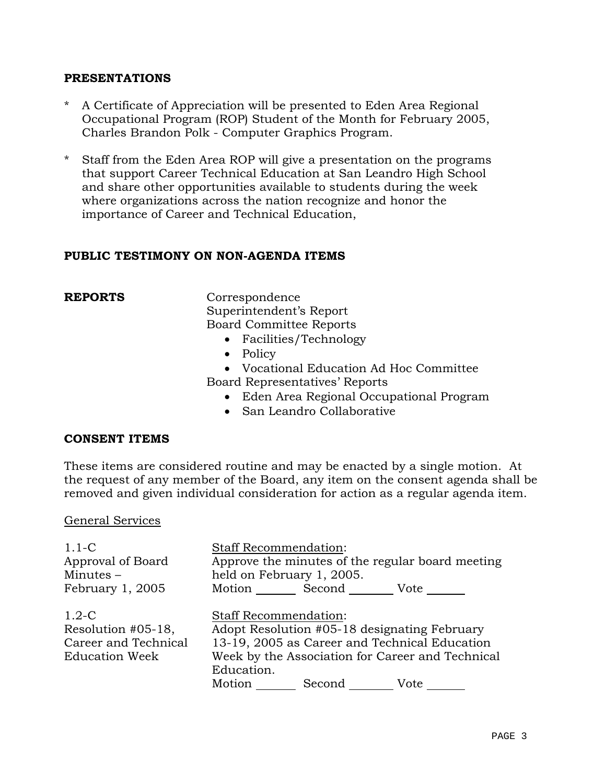#### **PRESENTATIONS**

- A Certificate of Appreciation will be presented to Eden Area Regional Occupational Program (ROP) Student of the Month for February 2005, Charles Brandon Polk - Computer Graphics Program.
- \* Staff from the Eden Area ROP will give a presentation on the programs that support Career Technical Education at San Leandro High School and share other opportunities available to students during the week where organizations across the nation recognize and honor the importance of Career and Technical Education,

### **PUBLIC TESTIMONY ON NON-AGENDA ITEMS**

**REPORTS** Correspondence Superintendent's Report Board Committee Reports

- Facilities/Technology
- Policy
- Vocational Education Ad Hoc Committee

Board Representatives' Reports

- Eden Area Regional Occupational Program
- San Leandro Collaborative

### **CONSENT ITEMS**

These items are considered routine and may be enacted by a single motion. At the request of any member of the Board, any item on the consent agenda shall be removed and given individual consideration for action as a regular agenda item.

#### General Services

| $1.1-C$<br>Approval of Board<br>Minutes $-$                                    | <b>Staff Recommendation:</b><br>Approve the minutes of the regular board meeting<br>held on February 1, 2005.                                                                                                            |  |  |
|--------------------------------------------------------------------------------|--------------------------------------------------------------------------------------------------------------------------------------------------------------------------------------------------------------------------|--|--|
| February 1, 2005                                                               | Motion Second Vote                                                                                                                                                                                                       |  |  |
| $1.2-C$<br>Resolution #05-18,<br>Career and Technical<br><b>Education Week</b> | <b>Staff Recommendation:</b><br>Adopt Resolution #05-18 designating February<br>13-19, 2005 as Career and Technical Education<br>Week by the Association for Career and Technical<br>Education.<br>Motion Second<br>Vote |  |  |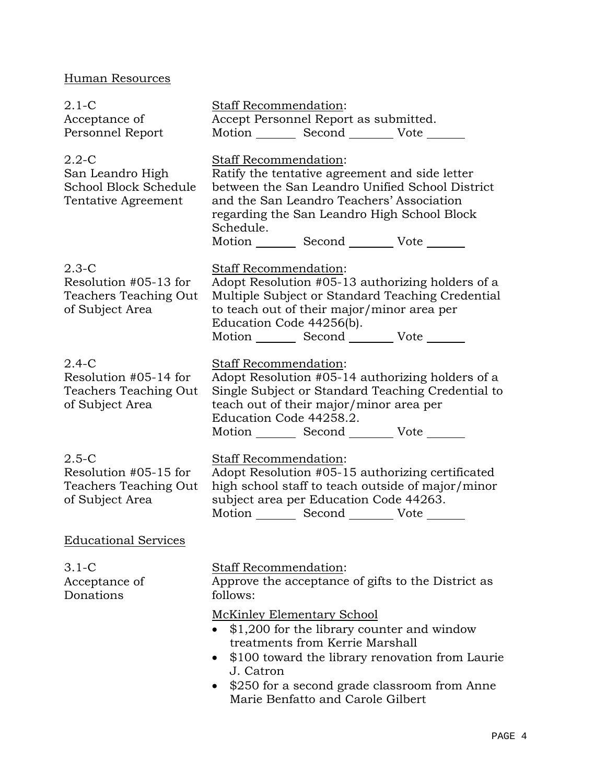# Human Resources

| 2.1-C<br>Acceptance of<br>Personnel Report                                        | <b>Staff Recommendation:</b><br>Accept Personnel Report as submitted.<br>Motion _________ Second __________ Vote _______                                                                                                                                                                |  |
|-----------------------------------------------------------------------------------|-----------------------------------------------------------------------------------------------------------------------------------------------------------------------------------------------------------------------------------------------------------------------------------------|--|
| 2.2-C<br>San Leandro High<br>School Block Schedule<br>Tentative Agreement         | <b>Staff Recommendation:</b><br>Ratify the tentative agreement and side letter<br>between the San Leandro Unified School District<br>and the San Leandro Teachers' Association<br>regarding the San Leandro High School Block<br>Schedule.                                              |  |
| 2.3-C<br>Resolution #05-13 for<br>Teachers Teaching Out<br>of Subject Area        | Motion _________ Second __________ Vote _______<br><b>Staff Recommendation:</b><br>Adopt Resolution #05-13 authorizing holders of a<br>Multiple Subject or Standard Teaching Credential<br>to teach out of their major/minor area per<br>Education Code 44256(b).<br>Motion Second Vote |  |
| 2.4-C<br>Resolution #05-14 for<br><b>Teachers Teaching Out</b><br>of Subject Area | Staff Recommendation:<br>Adopt Resolution #05-14 authorizing holders of a<br>Single Subject or Standard Teaching Credential to<br>teach out of their major/minor area per<br>Education Code 44258.2.<br>Motion Second Vote                                                              |  |
| $2.5 - C$<br>Resolution #05-15 for<br>Teachers Teaching Out<br>of Subject Area    | Staff Recommendation:<br>Adopt Resolution #05-15 authorizing certificated<br>high school staff to teach outside of major/minor<br>subject area per Education Code 44263.<br>Motion _________ Second _________ Vote ______                                                               |  |
| <b>Educational Services</b>                                                       |                                                                                                                                                                                                                                                                                         |  |
| 3.1-C<br>Acceptance of<br>Donations                                               | <b>Staff Recommendation:</b><br>Approve the acceptance of gifts to the District as<br>follows:                                                                                                                                                                                          |  |
|                                                                                   | <b>McKinley Elementary School</b><br>\$1,200 for the library counter and window<br>treatments from Kerrie Marshall<br>\$100 toward the library renovation from Laurie<br>J. Catron<br>\$250 for a second grade classroom from Anne<br>Marie Benfatto and Carole Gilbert                 |  |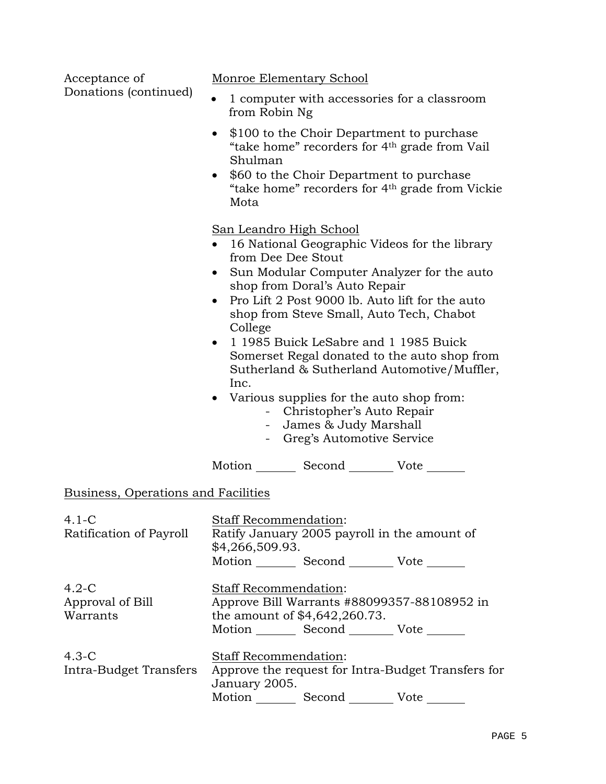| Acceptance of                           | Monroe Elementary School                                                                                                                                                                                                                                                                                                                                                                                                                                                                                                                                                                                                   |  |  |
|-----------------------------------------|----------------------------------------------------------------------------------------------------------------------------------------------------------------------------------------------------------------------------------------------------------------------------------------------------------------------------------------------------------------------------------------------------------------------------------------------------------------------------------------------------------------------------------------------------------------------------------------------------------------------------|--|--|
| Donations (continued)                   | 1 computer with accessories for a classroom<br>from Robin Ng                                                                                                                                                                                                                                                                                                                                                                                                                                                                                                                                                               |  |  |
|                                         | \$100 to the Choir Department to purchase<br>"take home" recorders for 4 <sup>th</sup> grade from Vail<br>Shulman<br>\$60 to the Choir Department to purchase<br>$\bullet$<br>"take home" recorders for 4 <sup>th</sup> grade from Vickie<br>Mota                                                                                                                                                                                                                                                                                                                                                                          |  |  |
|                                         | <u>San Leandro High School</u><br>16 National Geographic Videos for the library<br>from Dee Dee Stout<br>Sun Modular Computer Analyzer for the auto<br>$\bullet$<br>shop from Doral's Auto Repair<br>Pro Lift 2 Post 9000 lb. Auto lift for the auto<br>$\bullet$<br>shop from Steve Small, Auto Tech, Chabot<br>College<br>1 1985 Buick LeSabre and 1 1985 Buick<br>$\bullet$<br>Somerset Regal donated to the auto shop from<br>Sutherland & Sutherland Automotive/Muffler,<br>Inc.<br>Various supplies for the auto shop from:<br>- Christopher's Auto Repair<br>- James & Judy Marshall<br>- Greg's Automotive Service |  |  |
|                                         | Motion _________ Second __________ Vote _______                                                                                                                                                                                                                                                                                                                                                                                                                                                                                                                                                                            |  |  |
| Business, Operations and Facilities     |                                                                                                                                                                                                                                                                                                                                                                                                                                                                                                                                                                                                                            |  |  |
| $4.1 - C$<br>Ratification of Payroll    | <b>Staff Recommendation:</b><br>Ratify January 2005 payroll in the amount of<br>\$4,266,509.93.<br>Motion _________ Second __________ Vote _______                                                                                                                                                                                                                                                                                                                                                                                                                                                                         |  |  |
| $4.2-C$<br>Approval of Bill<br>Warrants | Staff Recommendation:<br>Approve Bill Warrants #88099357-88108952 in<br>the amount of \$4,642,260.73.<br>Motion _________ Second __________ Vote _______                                                                                                                                                                                                                                                                                                                                                                                                                                                                   |  |  |
| $4.3-C$<br>Intra-Budget Transfers       | <b>Staff Recommendation:</b><br>Approve the request for Intra-Budget Transfers for<br>January 2005.                                                                                                                                                                                                                                                                                                                                                                                                                                                                                                                        |  |  |

Motion \_\_\_\_\_\_\_\_\_ Second \_\_\_\_\_\_\_\_\_ Vote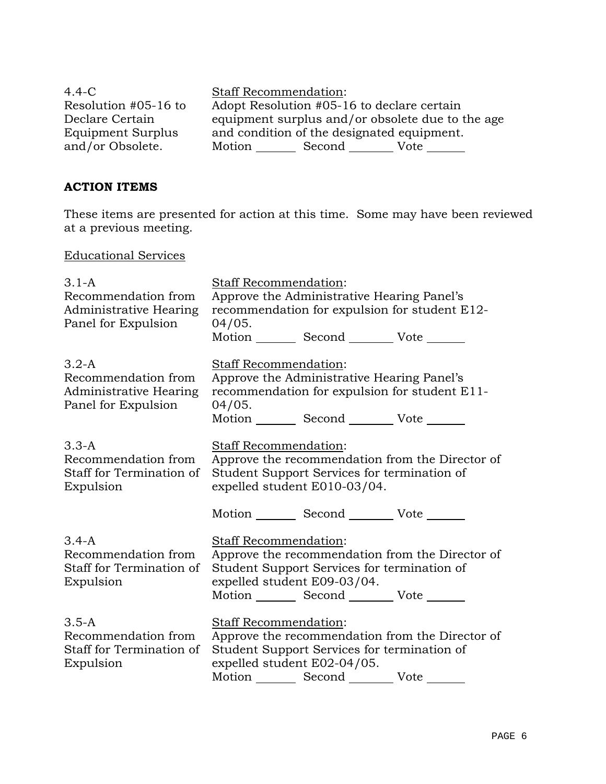| $4.4 - C$            | <b>Staff Recommendation:</b>                     |  |  |
|----------------------|--------------------------------------------------|--|--|
| Resolution #05-16 to | Adopt Resolution #05-16 to declare certain       |  |  |
| Declare Certain      | equipment surplus and/or obsolete due to the age |  |  |
| Equipment Surplus    | and condition of the designated equipment.       |  |  |
| and/or Obsolete.     | Motion<br>Second<br>Vote                         |  |  |

# **ACTION ITEMS**

These items are presented for action at this time. Some may have been reviewed at a previous meeting.

Educational Services

| $3.1-A$<br>Recommendation from<br><b>Administrative Hearing</b><br>Panel for Expulsion | <b>Staff Recommendation:</b><br>Approve the Administrative Hearing Panel's<br>recommendation for expulsion for student E12-<br>04/05.                                                                             |                                                                                                |                                                 |
|----------------------------------------------------------------------------------------|-------------------------------------------------------------------------------------------------------------------------------------------------------------------------------------------------------------------|------------------------------------------------------------------------------------------------|-------------------------------------------------|
|                                                                                        |                                                                                                                                                                                                                   | Motion _________ Second __________ Vote _______                                                |                                                 |
| $3.2-A$<br>Recommendation from<br>Administrative Hearing<br>Panel for Expulsion        | Staff Recommendation:<br>04/05.                                                                                                                                                                                   | Approve the Administrative Hearing Panel's<br>Motion _________ Second __________ Vote _______  | recommendation for expulsion for student E11-   |
| $3.3-A$<br>Recommendation from<br>Staff for Termination of<br>Expulsion                | <b>Staff Recommendation:</b><br>Approve the recommendation from the Director of<br>Student Support Services for termination of<br>expelled student E010-03/04.<br>Motion _________ Second __________ Vote _______ |                                                                                                |                                                 |
| $3.4 - A$<br>Recommendation from<br>Staff for Termination of<br>Expulsion              | Staff Recommendation:<br>expelled student E09-03/04.                                                                                                                                                              | Student Support Services for termination of<br>Motion _________ Second __________ Vote _______ | Approve the recommendation from the Director of |
| $3.5 - A$<br>Recommendation from<br>Staff for Termination of<br>Expulsion              | Staff Recommendation:<br>expelled student E02-04/05.                                                                                                                                                              | Student Support Services for termination of<br>Motion _________ Second __________ Vote _______ | Approve the recommendation from the Director of |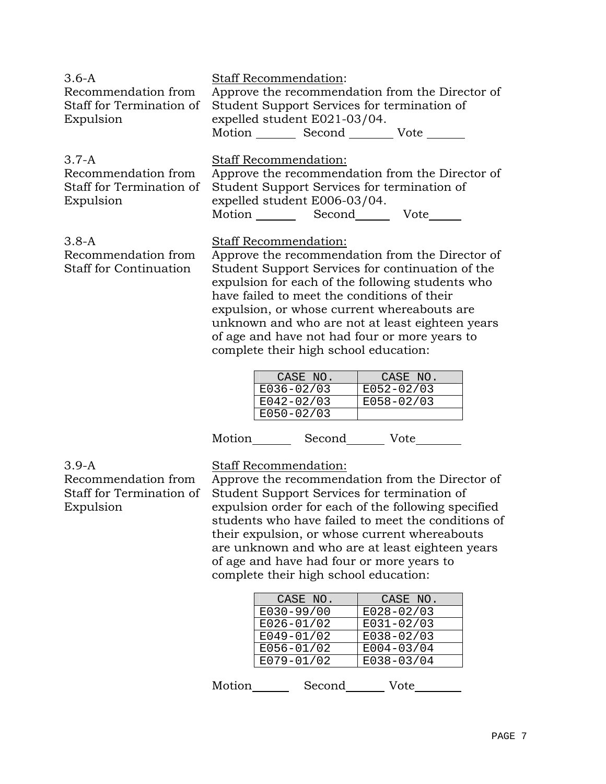| $3.6-A$<br>Recommendation from<br>Staff for Termination of<br>Expulsion   | <b>Staff Recommendation:</b><br>Approve the recommendation from the Director of<br>Student Support Services for termination of<br>expelled student E021-03/04.<br>Motion Second Vote                                                                                                                                                                                                                                         |
|---------------------------------------------------------------------------|------------------------------------------------------------------------------------------------------------------------------------------------------------------------------------------------------------------------------------------------------------------------------------------------------------------------------------------------------------------------------------------------------------------------------|
| $3.7 - A$<br>Recommendation from<br>Staff for Termination of<br>Expulsion | Staff Recommendation:<br>Approve the recommendation from the Director of<br>Student Support Services for termination of<br>expelled student E006-03/04.<br>Motion ______ Second________ Vote______                                                                                                                                                                                                                           |
| $3.8 - A$<br>Recommendation from<br><b>Staff for Continuation</b>         | Staff Recommendation:<br>Approve the recommendation from the Director of<br>Student Support Services for continuation of the<br>expulsion for each of the following students who<br>have failed to meet the conditions of their<br>expulsion, or whose current whereabouts are.<br>unknown and who are not at least eighteen years<br>of age and have not had four or more years to<br>complete their high school education: |

| CASE NO.       | CASE NO.   |
|----------------|------------|
| E036-02/03     | E052-02/03 |
| E042-02/03     | E058-02/03 |
| $E050 - 02/03$ |            |

| Motion | Second | Vote |
|--------|--------|------|
|--------|--------|------|

3.9-A Recommendation from Staff for Termination of Expulsion

Staff Recommendation:

Approve the recommendation from the Director of Student Support Services for termination of expulsion order for each of the following specified students who have failed to meet the conditions of their expulsion, or whose current whereabouts are unknown and who are at least eighteen years of age and have had four or more years to complete their high school education:

| CASE NO.       | CASE NO.       |
|----------------|----------------|
| E030-99/00     | $E028 - 02/03$ |
| $E026 - 01/02$ | E031-02/03     |
| $E049 - 01/02$ | E038-02/03     |
| E056-01/02     | $E004 - 03/04$ |
| $E079 - 01/02$ | E038-03/04     |
|                |                |

| Motion | Second | Vote |
|--------|--------|------|
|--------|--------|------|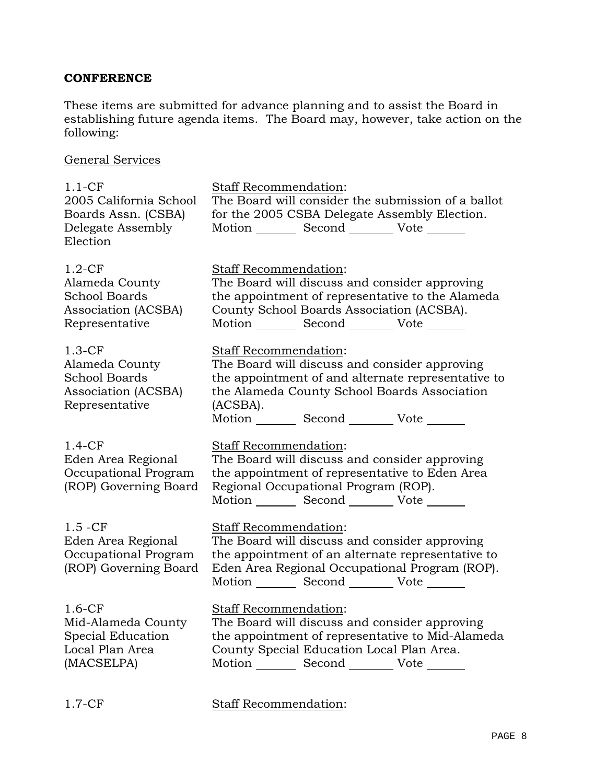# **CONFERENCE**

These items are submitted for advance planning and to assist the Board in establishing future agenda items. The Board may, however, take action on the following:

General Services

| $1.1-CF$<br>2005 California School<br>Boards Assn. (CSBA)<br>Delegate Assembly<br>Election  | <b>Staff Recommendation:</b><br>The Board will consider the submission of a ballot<br>for the 2005 CSBA Delegate Assembly Election.<br>Motion _________ Second __________ Vote _______                                                             |
|---------------------------------------------------------------------------------------------|----------------------------------------------------------------------------------------------------------------------------------------------------------------------------------------------------------------------------------------------------|
| $1.2-CF$<br>Alameda County<br><b>School Boards</b><br>Association (ACSBA)<br>Representative | <b>Staff Recommendation:</b><br>The Board will discuss and consider approving<br>the appointment of representative to the Alameda<br>County School Boards Association (ACSBA).<br>Motion _________ Second __________ Vote _______                  |
| $1.3-CF$<br>Alameda County<br><b>School Boards</b><br>Association (ACSBA)<br>Representative | <b>Staff Recommendation:</b><br>The Board will discuss and consider approving<br>the appointment of and alternate representative to<br>the Alameda County School Boards Association<br>(ACSBA).<br>Motion _________ Second __________ Vote _______ |
| $1.4-CF$<br>Eden Area Regional<br>Occupational Program<br>(ROP) Governing Board             | Staff Recommendation:<br>The Board will discuss and consider approving<br>the appointment of representative to Eden Area<br>Regional Occupational Program (ROP).<br>Motion _________ Second __________ Vote _______                                |
| $1.5 - CF$<br>Eden Area Regional<br>Occupational Program<br>(ROP) Governing Board           | Staff Recommendation:<br>The Board will discuss and consider approving<br>the appointment of an alternate representative to<br>Eden Area Regional Occupational Program (ROP).<br>Motion _________ Second __________ Vote _______                   |
| $1.6-CF$<br>Mid-Alameda County<br>Special Education<br>Local Plan Area<br>(MACSELPA)        | Staff Recommendation:<br>The Board will discuss and consider approving<br>the appointment of representative to Mid-Alameda<br>County Special Education Local Plan Area.<br>Motion _________ Second _________ Vote _______                          |

1.7-CF Staff Recommendation: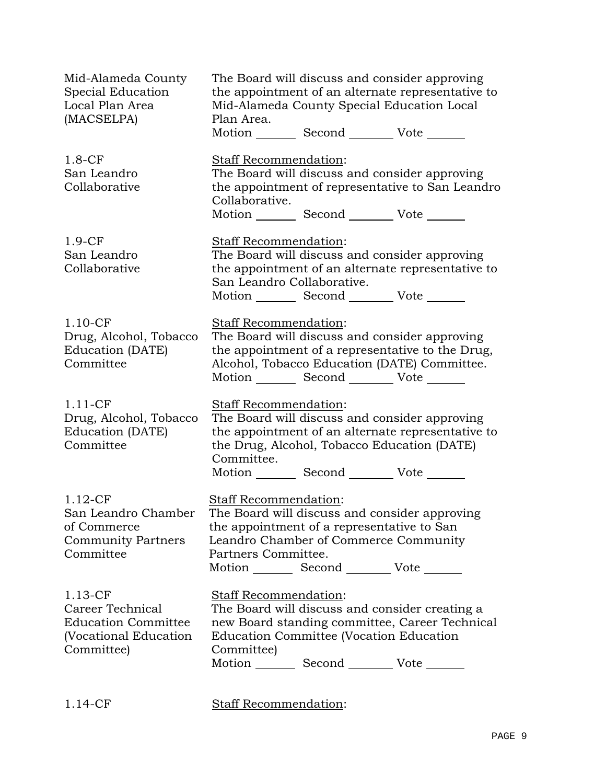| Mid-Alameda County<br>Special Education<br>Local Plan Area<br>(MACSELPA)                            | The Board will discuss and consider approving<br>the appointment of an alternate representative to<br>Mid-Alameda County Special Education Local<br>Plan Area.<br>Motion _________ Second __________ Vote _______                              |
|-----------------------------------------------------------------------------------------------------|------------------------------------------------------------------------------------------------------------------------------------------------------------------------------------------------------------------------------------------------|
| $1.8-CF$<br>San Leandro<br>Collaborative                                                            | Staff Recommendation:<br>The Board will discuss and consider approving<br>the appointment of representative to San Leandro<br>Collaborative.<br>Motion _________ Second __________ Vote _______                                                |
| $1.9-CF$<br>San Leandro<br>Collaborative                                                            | Staff Recommendation:<br>The Board will discuss and consider approving<br>the appointment of an alternate representative to<br>San Leandro Collaborative.<br>Motion _________ Second __________ Vote _______                                   |
| $1.10-CF$<br>Drug, Alcohol, Tobacco<br>Education (DATE)<br>Committee                                | Staff Recommendation:<br>The Board will discuss and consider approving<br>the appointment of a representative to the Drug,<br>Alcohol, Tobacco Education (DATE) Committee.<br>Motion _________ Second __________ Vote _______                  |
| $1.11$ -CF<br>Drug, Alcohol, Tobacco<br>Education (DATE)<br>Committee                               | Staff Recommendation:<br>The Board will discuss and consider approving<br>the appointment of an alternate representative to<br>the Drug, Alcohol, Tobacco Education (DATE)<br>Committee.<br>Motion _________ Second __________ Vote _______    |
| $1.12$ -CF<br>San Leandro Chamber<br>of Commerce<br><b>Community Partners</b><br>Committee          | <b>Staff Recommendation:</b><br>The Board will discuss and consider approving<br>the appointment of a representative to San<br>Leandro Chamber of Commerce Community<br>Partners Committee.<br>Motion _________ Second __________ Vote _______ |
| $1.13$ -CF<br>Career Technical<br><b>Education Committee</b><br>(Vocational Education<br>Committee) | <b>Staff Recommendation:</b><br>The Board will discuss and consider creating a<br>new Board standing committee, Career Technical<br>Education Committee (Vocation Education<br>Committee)<br>Motion _________ Second __________ Vote _______   |

1.14-CF Staff Recommendation: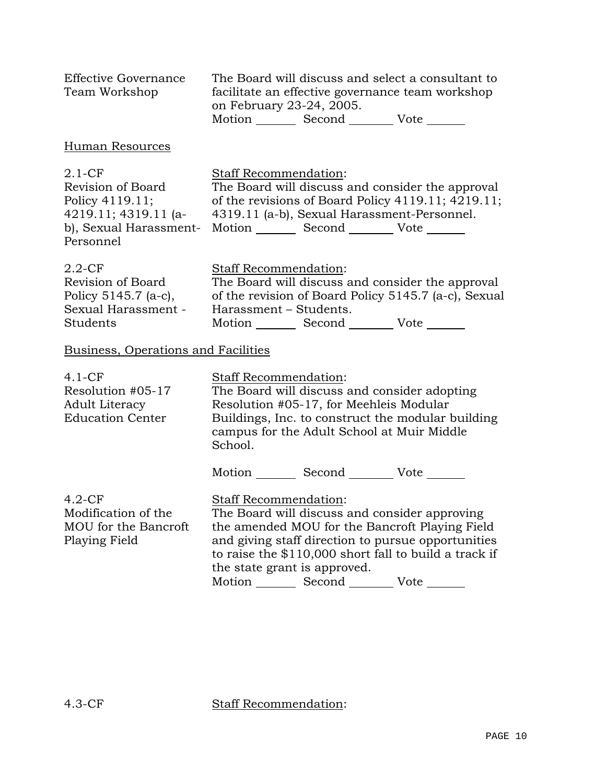| <b>Effective Governance</b><br>Team Workshop                                                                      | The Board will discuss and select a consultant to<br>facilitate an effective governance team workshop<br>on February 23-24, 2005.<br>Motion _________ Second __________ Vote _______                                                                                                                                       |  |
|-------------------------------------------------------------------------------------------------------------------|----------------------------------------------------------------------------------------------------------------------------------------------------------------------------------------------------------------------------------------------------------------------------------------------------------------------------|--|
| Human Resources                                                                                                   |                                                                                                                                                                                                                                                                                                                            |  |
| $2.1 - CF$<br>Revision of Board<br>Policy 4119.11;<br>4219.11; 4319.11 (a-<br>b), Sexual Harassment-<br>Personnel | Staff Recommendation:<br>The Board will discuss and consider the approval<br>of the revisions of Board Policy 4119.11; 4219.11;<br>4319.11 (a-b), Sexual Harassment-Personnel.<br>Motion Second Vote ______                                                                                                                |  |
| $2.2$ -CF<br>Revision of Board<br>Policy 5145.7 (a-c),<br>Sexual Harassment -<br>Students                         | Staff Recommendation:<br>The Board will discuss and consider the approval<br>of the revision of Board Policy 5145.7 (a-c), Sexual<br>Harassment - Students.<br>Motion Second Vote                                                                                                                                          |  |
| <b>Business, Operations and Facilities</b>                                                                        |                                                                                                                                                                                                                                                                                                                            |  |
| $4.1-CF$<br>Resolution #05-17<br><b>Adult Literacy</b><br><b>Education Center</b>                                 | Staff Recommendation:<br>The Board will discuss and consider adopting<br>Resolution #05-17, for Meehleis Modular<br>Buildings, Inc. to construct the modular building<br>campus for the Adult School at Muir Middle<br>School.                                                                                             |  |
|                                                                                                                   | Motion _________ Second __________ Vote _______                                                                                                                                                                                                                                                                            |  |
| $4.2-CF$<br>Modification of the<br>MOU for the Bancroft<br>Playing Field                                          | Staff Recommendation:<br>The Board will discuss and consider approving<br>the amended MOU for the Bancroft Playing Field<br>and giving staff direction to pursue opportunities<br>to raise the \$110,000 short fall to build a track if<br>the state grant is approved.<br>Motion _________ Second __________ Vote _______ |  |

4.3-CF Staff Recommendation: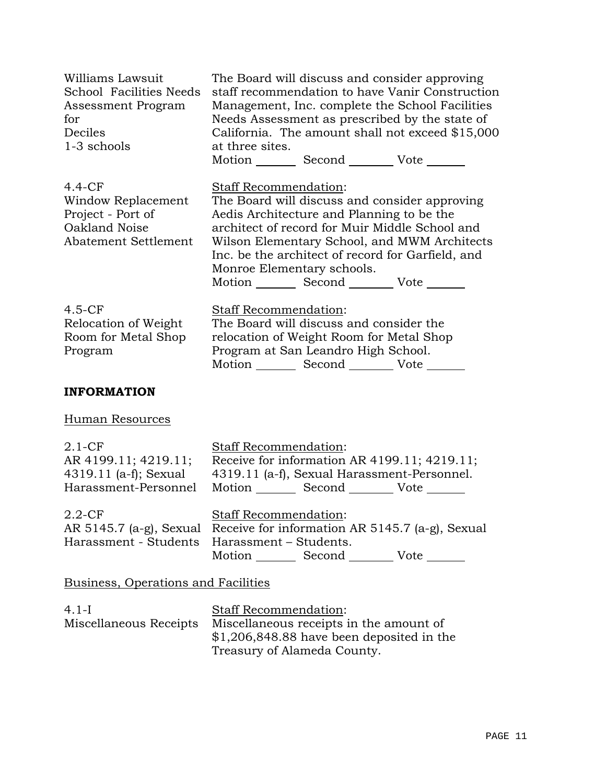| Williams Lawsuit<br>School Facilities Needs<br>Assessment Program<br>for<br>Deciles<br>1-3 schools | The Board will discuss and consider approving<br>staff recommendation to have Vanir Construction<br>Management, Inc. complete the School Facilities<br>Needs Assessment as prescribed by the state of<br>California. The amount shall not exceed \$15,000<br>at three sites.<br>Motion Second Vote                                                          |  |
|----------------------------------------------------------------------------------------------------|-------------------------------------------------------------------------------------------------------------------------------------------------------------------------------------------------------------------------------------------------------------------------------------------------------------------------------------------------------------|--|
| $4.4-CF$<br>Window Replacement<br>Project - Port of<br>Oakland Noise<br>Abatement Settlement       | Staff Recommendation:<br>The Board will discuss and consider approving<br>Aedis Architecture and Planning to be the<br>architect of record for Muir Middle School and<br>Wilson Elementary School, and MWM Architects<br>Inc. be the architect of record for Garfield, and<br>Monroe Elementary schools.<br>Motion _________ Second __________ Vote _______ |  |
| $4.5-CF$<br>Relocation of Weight<br>Room for Metal Shop<br>Program                                 | Staff Recommendation:<br>The Board will discuss and consider the<br>relocation of Weight Room for Metal Shop<br>Program at San Leandro High School.<br>Motion _________ Second __________ Vote _______                                                                                                                                                      |  |
| <b>INFORMATION</b>                                                                                 |                                                                                                                                                                                                                                                                                                                                                             |  |
| <b>Human Resources</b>                                                                             |                                                                                                                                                                                                                                                                                                                                                             |  |
| $2.1 - CF$<br>AR 4199.11; 4219.11;<br>4319.11 (a-f); Sexual<br>Harassment-Personnel                | Staff Recommendation:<br>Receive for information AR 4199.11; 4219.11;<br>4319.11 (a-f), Sexual Harassment-Personnel.<br>Motion _________ Second __________ Vote _______                                                                                                                                                                                     |  |
| $2.2$ -CF<br>AR 5145.7 (a-g), Sexual<br>Harassment - Students                                      | <b>Staff Recommendation:</b><br>Receive for information AR 5145.7 (a-g), Sexual<br>Harassment – Students.<br>Motion _________ Second _________ Vote _______                                                                                                                                                                                                 |  |
| <b>Business, Operations and Facilities</b>                                                         |                                                                                                                                                                                                                                                                                                                                                             |  |
| $4.1-I$<br>Miscellaneous Receipts                                                                  | Staff Recommendation:<br>Miscellaneous receipts in the amount of<br>$$1,206,848.88$ have been deposited in the                                                                                                                                                                                                                                              |  |

Treasury of Alameda County.